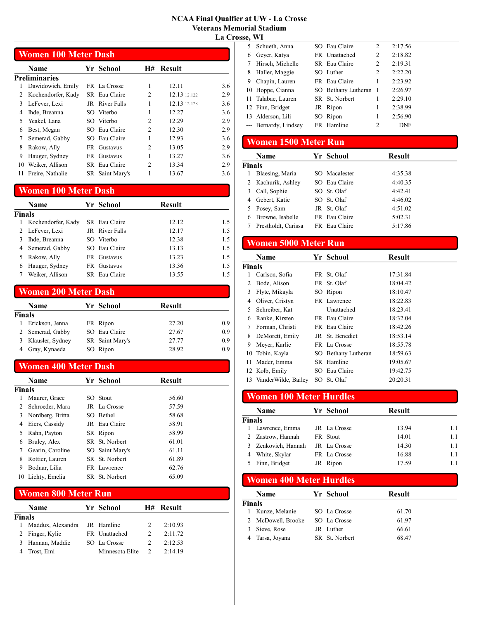#### NCAA Final Qualfier at UW - La Crosse Veterans Memorial Stadium La Crosse, WI

## Women 100 Meter Dash

|    | Name               | Yr School       | H#             | <b>Result</b> |     |
|----|--------------------|-----------------|----------------|---------------|-----|
|    | Preliminaries      |                 |                |               |     |
|    | Dawidowich, Emily  | FR La Crosse    | 1              | 12.11         | 3.6 |
| 2  | Kochendorfer, Kady | SR Eau Claire   | 2              | 12.13 12.122  | 2.9 |
| 3  | LeFever, Lexi      | JR River Falls  | 1              | 12.13 12.128  | 3.6 |
| 4  | Ihde, Breanna      | SO Viterbo      |                | 12.27         | 3.6 |
| 5  | Yeakel, Lana       | SO Viterbo      | $\overline{c}$ | 12.29         | 2.9 |
| 6  | Best, Megan        | SO Eau Claire   | 2              | 12.30         | 2.9 |
| 7  | Semerad, Gabby     | SO Eau Claire   | 1              | 12.93         | 3.6 |
| 8  | Rakow, Ally        | FR Gustavus     | 2              | 13.05         | 2.9 |
| 9  | Hauger, Sydney     | FR Gustavus     | 1              | 13.27         | 3.6 |
| 10 | Weiker, Allison    | SR Eau Claire   | 2              | 13.34         | 2.9 |
|    | Freire, Nathalie   | SR Saint Mary's |                | 13.67         | 3.6 |
|    |                    |                 |                |               |     |

### Women 100 Meter Dash

|               | <b>Name</b>        |     | Yr School      | <b>Result</b> |     |
|---------------|--------------------|-----|----------------|---------------|-----|
| <b>Finals</b> |                    |     |                |               |     |
| 1             | Kochendorfer, Kady |     | SR Eau Claire  | 12.12         | 1.5 |
|               | 2 LeFever, Lexi    |     | JR River Falls | 12.17         | 1.5 |
|               | Ihde, Breanna      |     | SO Viterbo     | 12.38         | 1.5 |
| 4             | Semerad, Gabby     |     | SO Eau Claire  | 13.13         | 1.5 |
|               | Rakow, Ally        | FR. | Gustavus       | 13.23         | 1.5 |
| 6             | Hauger, Sydney     | FR. | Gustavus       | 13.36         | 1.5 |
|               | Weiker, Allison    |     | SR Eau Claire  | 13.55         | 15  |

### Women 200 Meter Dash

|        | <b>Name</b>      | Yr School       | <b>Result</b> |     |
|--------|------------------|-----------------|---------------|-----|
| Finals |                  |                 |               |     |
|        | Erickson, Jenna  | FR Ripon        | 27.20         | 0.9 |
|        | Semerad, Gabby   | SO Eau Claire   | 27.67         | 0.9 |
|        | Klausler, Sydney | SR Saint Mary's | 27.77         | 0.9 |
|        | Gray, Kynaeda    | SO Ripon        | 28.92         | 0.9 |

### Women 400 Meter Dash

|        | Name              | Yr School       | <b>Result</b> |
|--------|-------------------|-----------------|---------------|
| Finals |                   |                 |               |
|        | Maurer, Grace     | SO Stout        | 56.60         |
| 2      | Schroeder, Mara   | JR La Crosse    | 57.59         |
| 3      | Nordberg, Britta  | SO Bethel       | 58.68         |
| 4      | Eiers, Cassidy    | JR Eau Claire   | 58.91         |
| 5      | Rahn, Payton      | SR Ripon        | 58.99         |
| 6      | Bruley, Alex      | SR St. Norbert  | 61.01         |
| 7      | Gearin, Caroline  | SO Saint Mary's | 61.11         |
| 8      | Rottier, Lauren   | SR St. Norbert  | 61.89         |
| 9      | Bodnar, Lilia     | FR Lawrence     | 62.76         |
|        | 10 Lichty, Emelia | SR St. Norbert  | 65.09         |

### Women 800 Meter Run

|        | Name                         | Yr School       |               | H# Result |
|--------|------------------------------|-----------------|---------------|-----------|
| Finals |                              |                 |               |           |
| L      | Maddux, Alexandra JR Hamline |                 |               | 2:10.93   |
|        | Finger, Kylie                | FR Unattached   |               | 2:11.72   |
|        | Hannan, Maddie               | SO La Crosse    |               | 2:12.53   |
|        | Trost, Emi                   | Minnesota Elite | $\mathcal{L}$ | 2:14.19   |

| ,,,,,,, |                       |                       |                |            |
|---------|-----------------------|-----------------------|----------------|------------|
| 5       | Schueth, Anna         | SO Eau Claire         | 2              | 2:17.56    |
| 6       | Geyer, Katya          | FR Unattached         | 2              | 2:18.82    |
|         | Hirsch, Michelle      | SR Eau Claire         | 2              | 2:19.31    |
| 8       | Haller, Maggie        | SO Luther             | $\overline{c}$ | 2:22.20    |
| 9       | Chapin, Lauren        | FR Eau Claire         | 1              | 2:23.92    |
|         | 10 Hoppe, Cianna      | SO Bethany Lutheran 1 |                | 2:26.97    |
|         | 11 Talabac, Lauren    | SR St. Norbert        | 1              | 2:29.10    |
|         | 12 Finn, Bridget      | JR Ripon              | 1              | 2:38.99    |
|         | 13 Alderson, Lili     | SO Ripon              | 1              | 2:56.90    |
|         | --- Bernardy, Lindsey | FR Hamline            | 2              | <b>DNF</b> |
|         |                       |                       |                |            |

### Women 1500 Meter Run

|               | <b>Name</b>         | Yr School     | <b>Result</b> |
|---------------|---------------------|---------------|---------------|
| <b>Finals</b> |                     |               |               |
| 1             | Blaesing, Maria     | SO Macalester | 4:35.38       |
|               | 2 Kachurik, Ashley  | SO Eau Claire | 4:40.35       |
| 3             | Call, Sophie        | SO St. Olaf   | 4:42.41       |
| 4             | Gebert, Katie       | SO St. Olaf   | 4:46.02       |
|               | 5 Posey, Sam        | JR St. Olaf   | 4:51.02       |
| 6             | Browne, Isabelle    | FR Eau Claire | 5:02.31       |
|               | Prestholdt, Carissa | FR Eau Claire | 5:17.86       |

## Women 5000 Meter Run

| Name                |                          |            | <b>Result</b>                                                                                                                                                                                                       |  |
|---------------------|--------------------------|------------|---------------------------------------------------------------------------------------------------------------------------------------------------------------------------------------------------------------------|--|
|                     |                          |            |                                                                                                                                                                                                                     |  |
| Carlson, Sofia      |                          |            | 17:31.84                                                                                                                                                                                                            |  |
| Bode, Alison        |                          |            | 18:04.42                                                                                                                                                                                                            |  |
| Flyte, Mikayla      |                          |            | 18:10.47                                                                                                                                                                                                            |  |
| Oliver, Cristyn     |                          |            | 18:22.83                                                                                                                                                                                                            |  |
| Schreiber, Kat      |                          | Unattached | 18:23.41                                                                                                                                                                                                            |  |
| Ranke, Kirsten      |                          |            | 18:32.04                                                                                                                                                                                                            |  |
| Forman, Christi     |                          |            | 18:42.26                                                                                                                                                                                                            |  |
| DeMorett, Emily     |                          |            | 18:53.14                                                                                                                                                                                                            |  |
| Meyer, Karlie       |                          |            | 18:55.78                                                                                                                                                                                                            |  |
| Tobin, Kayla        |                          |            | 18:59.63                                                                                                                                                                                                            |  |
| Mader, Emma         |                          |            | 19:05.67                                                                                                                                                                                                            |  |
|                     |                          |            | 19:42.75                                                                                                                                                                                                            |  |
| VanderWilde, Bailey |                          |            | 20:20.31                                                                                                                                                                                                            |  |
|                     | Finals<br>12 Kolb, Emily |            | <b>Yr School</b><br>FR St. Olaf<br>FR St. Olaf<br>SO Ripon<br>FR Lawrence<br>FR Eau Claire<br>FR Eau Claire<br>JR St. Benedict<br>FR La Crosse<br>SO Bethany Lutheran<br>SR Hamline<br>SO Eau Claire<br>SO St. Olaf |  |

### Women 100 Meter Hurdles

|        | Name              | Yr School    | Result |     |
|--------|-------------------|--------------|--------|-----|
| Finals |                   |              |        |     |
|        | Lawrence, Emma    | JR La Crosse | 13.94  | 1.1 |
|        | 2 Zastrow, Hannah | FR Stout     | 14.01  | 1.1 |
|        | Zenkovich, Hannah | JR La Crosse | 14.30  | 1.1 |
|        | White, Skylar     | FR La Crosse | 16.88  | 1.1 |
|        | Finn, Bridget     | Ripon        | 17.59  |     |

### Women 400 Meter Hurdles

 $\overline{\phantom{0}}$ 

|               | Name             | Yr School      | <b>Result</b> |
|---------------|------------------|----------------|---------------|
| <b>Finals</b> |                  |                |               |
|               | Kunze, Melanie   | SO La Crosse   | 61.70         |
|               | McDowell, Brooke | SO La Crosse   | 61.97         |
|               | Sieve, Rose      | JR Luther      | 66.61         |
|               | Tarsa, Joyana    | SR St. Norbert | 68.47         |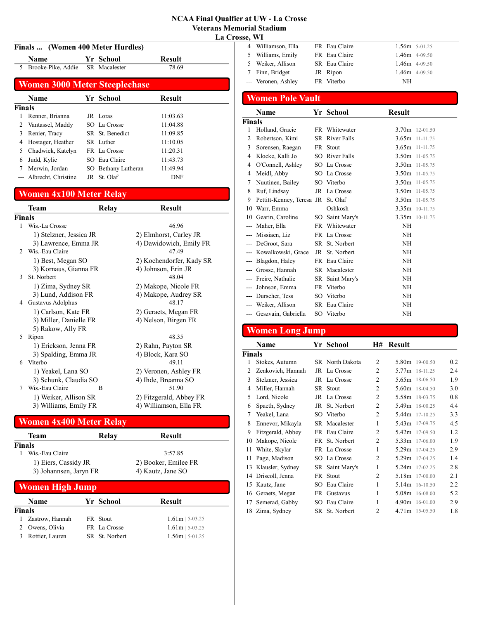#### NCAA Final Qualfier at UW - La Crosse Veterans Memorial Stadium La Crosse, WI

## Finals ... (Women 400 Meter Hurdles)

| <b>Name</b>                          |  | Yr School | <b>Result</b> |  |  |  |
|--------------------------------------|--|-----------|---------------|--|--|--|
| 5 Brooke-Pike, Addie SR Macalester   |  |           | 78.69         |  |  |  |
| <b>Women 3000 Meter Steeplechase</b> |  |           |               |  |  |  |
| Name                                 |  | Vr School | <b>Result</b> |  |  |  |

|        | Name                    | Yr School           | Kesult   |  |
|--------|-------------------------|---------------------|----------|--|
| Finals |                         |                     |          |  |
|        | Renner, Brianna         | JR Loras            | 11:03.63 |  |
|        | Vantassel, Maddy        | SO La Crosse        | 11:04.88 |  |
| 3      | Renier, Tracy           | SR St. Benedict     | 11:09.85 |  |
| 4      | Hostager, Heather       | SR Luther           | 11:10.05 |  |
|        | Chadwick, Katelyn       | FR La Crosse        | 11:20.31 |  |
| 6      | Judd, Kylie             | SO Eau Claire       | 11:43.73 |  |
|        | Merwin, Jordan          | SO Bethany Lutheran | 11:49.94 |  |
|        | --- Albrecht, Christine | JR St. Olaf         | DNF      |  |

## Women 4x100 Meter Relay

|                | <b>Team</b>             | Relay | <b>Result</b>            |
|----------------|-------------------------|-------|--------------------------|
| Finals         |                         |       |                          |
| 1              | Wis.-La Crosse          |       | 46.96                    |
|                | 1) Stelzner, Jessica JR |       | 2) Elmhorst, Carley JR   |
|                | 3) Lawrence, Emma JR    |       | 4) Dawidowich, Emily FR  |
| $\mathfrak{D}$ | Wis.-Eau Claire         |       | 47.49                    |
|                | 1) Best, Megan SO       |       | 2) Kochendorfer, Kady SR |
|                | 3) Kornaus, Gianna FR   |       | 4) Johnson, Erin JR      |
| 3              | St. Norbert             |       | 48.04                    |
|                | 1) Zima, Sydney SR      |       | 2) Makope, Nicole FR     |
|                | 3) Lund, Addison FR     |       | 4) Makope, Audrey SR     |
| 4              | Gustavus Adolphus       |       | 48.17                    |
|                | 1) Carlson, Kate FR     |       | 2) Geraets, Megan FR     |
|                | 3) Miller, Danielle FR  |       | 4) Nelson, Birgen FR     |
|                | 5) Rakow, Ally FR       |       |                          |
| 5              | Ripon                   |       | 48.35                    |
|                | 1) Erickson, Jenna FR   |       | 2) Rahn, Payton SR       |
|                | 3) Spalding, Emma JR    |       | 4) Block, Kara SO        |
| 6              | Viterbo                 |       | 49.11                    |
|                | 1) Yeakel, Lana SO      |       | 2) Veronen, Ashley FR    |
|                | 3) Schunk, Claudia SO   |       | 4) Ihde, Breanna SO      |
| 7              | Wis.-Eau Claire         | R     | 51.90                    |
|                | 1) Weiker, Allison SR   |       | 2) Fitzgerald, Abbey FR  |
|                | 3) Williams, Emily FR   |       | 4) Williamson, Ella FR   |

## Women 4x400 Meter Relay

| Team                   | Relay     | Result               |
|------------------------|-----------|----------------------|
| Finals                 |           |                      |
| Wis.-Eau Claire        |           | 3:57.85              |
| 1) Eiers, Cassidy JR   |           | 2) Booker, Emilee FR |
| 3) Johannsen, Jaryn FR |           | 4) Kautz, Jane SO    |
| <b>Women High Jump</b> |           |                      |
| $N = 1$                | V. Cakaal | D 14                 |

|        | <b>Name</b>       | Yr School      | <b>Result</b>     |
|--------|-------------------|----------------|-------------------|
| Finals |                   |                |                   |
|        | 1 Zastrow, Hannah | FR Stout       | $1.61m$   5-03.25 |
|        | 2 Owens, Olivia   | FR La Crosse   | $1.61m$   5-03.25 |
|        | Rottier, Lauren   | SR St. Norbert | $1.56m$   5-01.25 |

|   | .                   |               |                   |
|---|---------------------|---------------|-------------------|
|   | Williamson, Ella    | FR Eau Claire | $1.56m$   5-01.25 |
|   | Williams, Emily     | FR Eau Claire | $1.46m$   4-09.50 |
|   | Weiker, Allison     | SR Eau Claire | $1.46m$   4-09.50 |
| 7 | Finn, Bridget       | JR Ripon      | $1.46m$   4-09.50 |
|   | --- Veronen, Ashley | FR Viterbo    | NH                |
|   |                     |               |                   |

## Women Pole Vault

|                | Name                               | Yr School             | <b>Result</b>      |
|----------------|------------------------------------|-----------------------|--------------------|
| Finals         |                                    |                       |                    |
| 1              | Holland, Gracie                    | FR Whitewater         | $3.70m$   12-01.50 |
| $\overline{2}$ | Robertson, Kimi                    | <b>SR</b> River Falls | $3.65m$   11-11.75 |
| 3              | Sorensen, Raegan                   | FR Stout              | $3.65m$   11-11.75 |
| 4              | Klocke, Kalli Jo                   | SO River Falls        | $3.50m$   11-05.75 |
| 4              | O'Connell, Ashley                  | SO La Crosse          | $3.50m$   11-05.75 |
| 4              | Meidl, Abby                        | SO La Crosse          | $3.50m$   11-05.75 |
| 7              | Nuutinen, Bailey                   | SO Viterbo            | $3.50m$   11-05.75 |
| 8              | Ruf, Lindsay                       | JR La Crosse          | $3.50m$   11-05.75 |
| 9              | Pettitt-Kenney, Teresa JR St. Olaf |                       | $3.50m$   11-05.75 |
| 10             | Warr, Emma                         | Oshkosh               | $3.35m$   10-11.75 |
| 10             | Gearin, Caroline                   | SO Saint Mary's       | $3.35m$   10-11.75 |
|                | Maher, Ella                        | FR Whitewater         | <b>NH</b>          |
|                | Missiaen, Liz                      | FR La Crosse          | NH                 |
|                | DeGroot, Sara                      | SR St. Norbert        | NH                 |
|                | Kowalkowski, Grace                 | JR St. Norbert        | NH                 |
|                | Blagdon, Haley                     | FR Eau Claire         | <b>NH</b>          |
|                | Grosse, Hannah                     | SR Macalester         | <b>NH</b>          |
|                | Freire, Nathalie                   | SR Saint Mary's       | <b>NH</b>          |
|                | Johnson, Emma                      | FR Viterbo            | <b>NH</b>          |
|                | Durscher, Tess                     | SO Viterbo            | <b>NH</b>          |
|                | Weiker, Allison                    | SR Eau Claire         | NH                 |
|                | --- Geszvain, Gabriella            | SO Viterbo            | NH                 |

## Women Long Jump

|               | Name              |     | Yr School       | H#             | <b>Result</b>      |     |
|---------------|-------------------|-----|-----------------|----------------|--------------------|-----|
| <b>Finals</b> |                   |     |                 |                |                    |     |
| 1             | Stokes, Autumn    |     | SR North Dakota | $\overline{c}$ | $5.80m$   19-00.50 | 0.2 |
| $\mathcal{L}$ | Zenkovich, Hannah |     | JR La Crosse    | $\overline{2}$ | $5.77m$   18-11.25 | 2.4 |
| 3             | Stelzner, Jessica |     | JR La Crosse    | $\overline{c}$ | $5.65m$   18-06.50 | 1.9 |
| 4             | Miller, Hannah    |     | SR Stout        | 2              | $5.60m$   18-04.50 | 3.0 |
| 5             | Lord, Nicole      | JR  | La Crosse       | $\overline{2}$ | $5.58m$   18-03.75 | 0.8 |
| 6             | Spaeth, Sydney    | JR  | St. Norbert     | 2              | $5.49m$   18-00.25 | 4.4 |
| 7             | Yeakel, Lana      |     | SO Viterbo      | $\overline{c}$ | $5.44m$   17-10.25 | 3.3 |
| 8             | Ennevor, Mikayla  |     | SR Macalester   | 1              | $5.43m$   17-09.75 | 4.5 |
| 9             | Fitzgerald, Abbey |     | FR Eau Claire   | 2              | $5.42m$   17-09.50 | 1.2 |
| 10            | Makope, Nicole    |     | FR St. Norbert  | $\overline{2}$ | $5.33m$   17-06.00 | 1.9 |
| 11            | White, Skylar     |     | FR La Crosse    | 1              | $5.29m$   17-04.25 | 2.9 |
| 11            | Page, Madison     | SO. | La Crosse       | $\overline{2}$ | $5.29m$   17-04.25 | 1.4 |
| 13            | Klausler, Sydney  |     | SR Saint Mary's | 1              | $5.24m$   17-02.25 | 2.8 |
| 14            | Driscoll, Jenna   |     | FR Stout        | 2              | $5.18m$   17-00.00 | 2.1 |
| 15            | Kautz, Jane       | SO. | Eau Claire      | 1              | $5.14m$   16-10.50 | 2.2 |
| 16            | Geraets, Megan    |     | FR Gustavus     | 1              | $5.08m$   16-08.00 | 5.2 |
| 17            | Semerad, Gabby    | SO. | Eau Claire      | 1              | $4.90m$   16-01.00 | 2.9 |
| 18            | Zima, Sydney      |     | SR St. Norbert  | $\overline{c}$ | $4.71m$   15-05.50 | 1.8 |